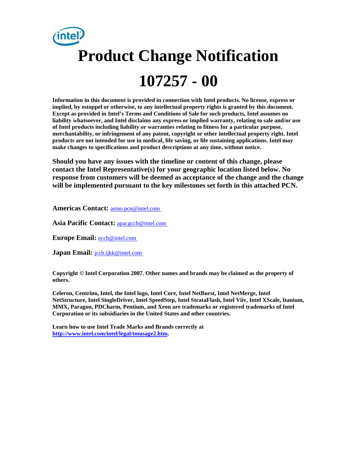# **Product Change Notification 107257 - 00**

**Information in this document is provided in connection with Intel products. No license, express or implied, by estoppel or otherwise, to any intellectual property rights is granted by this document. Except as provided in Intel's Terms and Conditions of Sale for such products, Intel assumes no liability whatsoever, and Intel disclaims any express or implied warranty, relating to sale and/or use of Intel products including liability or warranties relating to fitness for a particular purpose, merchantability, or infringement of any patent, copyright or other intellectual property right. Intel products are not intended for use in medical, life saving, or life sustaining applications. Intel may make changes to specifications and product descriptions at any time, without notice.** 

**Should you have any issues with the timeline or content of this change, please contact the Intel Representative(s) for your geographic location listed below. No response from customers will be deemed as acceptance of the change and the change will be implemented pursuant to the key milestones set forth in this attached PCN.** 

**Americas Contact:** [asmo.pcn@intel.com](mailto:asmo.pcn@intel.com) 

**Asia Pacific Contact:** [apacgccb@intel.com](mailto:apacgccb@intel.com) 

**Europe Email:** [eccb@intel.com](mailto:eccb@intel.com) 

**Japan Email: jccb.ijkk@intel.com** 

**Copyright © Intel Corporation 2007. Other names and brands may be claimed as the property of others.**

**Celeron, Centrino, Intel, the Intel logo, Intel Core, Intel NetBurst, Intel NetMerge, Intel NetStructure, Intel SingleDriver, Intel SpeedStep, Intel StrataFlash, Intel Viiv, Intel XScale, Itanium, MMX, Paragon, PDCharm, Pentium, and Xeon are trademarks or registered trademarks of Intel Corporation or its subsidiaries in the United States and other countries.** 

**Learn how to use Intel Trade Marks and Brands correctly at [http://www.intel.com/intel/legal/tmusage2.htm.](http://www.intel.com/intel/legal/tmusage2.htm)**